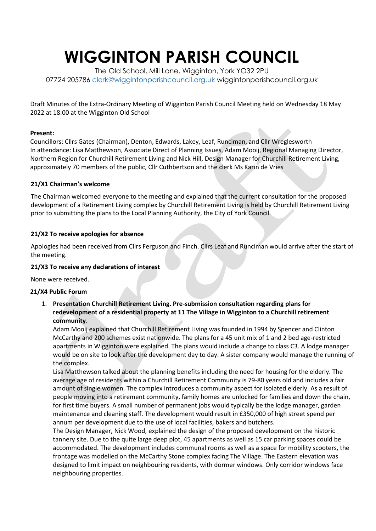# **WIGGINTON PARISH COUNCIL**

The Old School, Mill Lane, Wigginton, York YO32 2PU 07724 205786 [clerk@wiggintonparishcouncil.org.uk](mailto:clerk@wiggintonparishcouncil.org.uk) wiggintonparishcouncil.org.uk

Draft Minutes of the Extra-Ordinary Meeting of Wigginton Parish Council Meeting held on Wednesday 18 May 2022 at 18:00 at the Wigginton Old School

#### **Present:**

Councillors: Cllrs Gates (Chairman), Denton, Edwards, Lakey, Leaf, Runciman, and Cllr Wreglesworth In attendance: Lisa Matthewson, Associate Direct of Planning Issues, Adam Mooij, Regional Managing Director, Northern Region for Churchill Retirement Living and Nick Hill, Design Manager for Churchill Retirement Living, approximately 70 members of the public, Cllr Cuthbertson and the clerk Ms Karin de Vries

## **21/X1 Chairman's welcome**

The Chairman welcomed everyone to the meeting and explained that the current consultation for the proposed development of a Retirement Living complex by Churchill Retirement Living is held by Churchill Retirement Living prior to submitting the plans to the Local Planning Authority, the City of York Council.

## **21/X2 To receive apologies for absence**

Apologies had been received from Cllrs Ferguson and Finch. Cllrs Leaf and Runciman would arrive after the start of the meeting.

# **21/X3 To receive any declarations of interest**

None were received.

#### **21/X4 Public Forum**

1. **Presentation Churchill Retirement Living. Pre-submission consultation regarding plans for redevelopment of a residential property at 11 The Village in Wigginton to a Churchill retirement community**.

Adam Mooij explained that Churchill Retirement Living was founded in 1994 by Spencer and Clinton McCarthy and 200 schemes exist nationwide. The plans for a 45 unit mix of 1 and 2 bed age-restricted apartments in Wigginton were explained. The plans would include a change to class C3. A lodge manager would be on site to look after the development day to day. A sister company would manage the running of the complex.

Lisa Matthewson talked about the planning benefits including the need for housing for the elderly. The average age of residents within a Churchill Retirement Community is 79-80 years old and includes a fair amount of single women. The complex introduces a community aspect for isolated elderly. As a result of people moving into a retirement community, family homes are unlocked for families and down the chain, for first time buyers. A small number of permanent jobs would typically be the lodge manager, garden maintenance and cleaning staff. The development would result in £350,000 of high street spend per annum per development due to the use of local facilities, bakers and butchers.

The Design Manager, Nick Wood, explained the design of the proposed development on the historic tannery site. Due to the quite large deep plot, 45 apartments as well as 15 car parking spaces could be accommodated. The development includes communal rooms as well as a space for mobility scooters, the frontage was modelled on the McCarthy Stone complex facing The Village. The Eastern elevation was designed to limit impact on neighbouring residents, with dormer windows. Only corridor windows face neighbouring properties.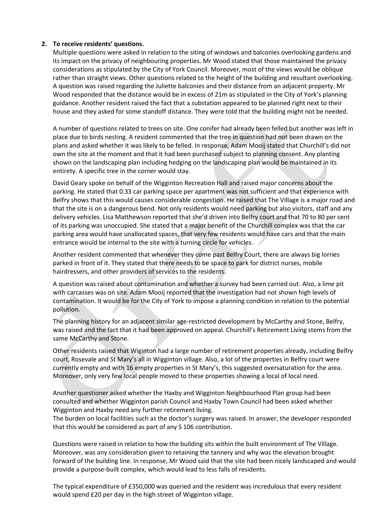# **2. To receive residents' questions.**

Multiple questions were asked in relation to the siting of windows and balconies overlooking gardens and its impact on the privacy of neighbouring properties. Mr Wood stated that those maintained the privacy considerations as stipulated by the City of York Council. Moreover, most of the views would be oblique rather than straight views. Other questions related to the height of the building and resultant overlooking. A question was raised regarding the Juliette balconies and their distance from an adjacent property. Mr Wood responded that the distance would be in excess of 21m as stipulated in the City of York's planning guidance. Another resident raised the fact that a substation appeared to be planned right next to their house and they asked for some standoff distance. They were told that the building might not be needed.

A number of questions related to trees on site. One conifer had already been felled but another was left in place due to birds nesting. A resident commented that the tree in question had not been drawn on the plans and asked whether it was likely to be felled. In response, Adam Mooij stated that Churchill's did not own the site at the moment and that it had been purchased subject to planning consent. Any planting shown on the landscaping plan including hedging on the landscaping plan would be maintained in its entirety. A specific tree in the corner would stay.

David Geary spoke on behalf of the Wigginton Recreation Hall and raised major concerns about the parking. He stated that 0.33 car parking space per apartment was not sufficient and that experience with Belfry shows that this would causes considerable congestion. He raised that The Village is a major road and that the site is on a dangerous bend. Not only residents would need parking but also visitors, staff and any delivery vehicles. Lisa Matthewson reported that she'd driven into Belfry court and that 70 to 80 per cent of its parking was unoccupied. She stated that a major benefit of the Churchill complex was that the car parking area would have unallocated spaces, that very few residents would have cars and that the main entrance would be internal to the site with a turning circle for vehicles.

Another resident commented that whenever they come past Belfry Court, there are always big lorries parked in front of it. They stated that there needs to be space to park for district nurses, mobile hairdressers, and other providers of services to the residents.

A question was raised about contamination and whether a survey had been carried out. Also, a lime pit with carcasses was on site. Adam Mooij reported that the investigation had not shown high levels of contamination. It would be for the City of York to impose a planning condition in relation to the potential pollution.

The planning history for an adjacent similar age-restricted development by McCarthy and Stone, Belfry, was raised and the fact that it had been approved on appeal. Churchill's Retirement Living stems from the same McCarthy and Stone.

Other residents raised that Wiginton had a large number of retirement properties already, including Belfry court, Rosevale and St Mary's all in Wigginton village. Also, a lot of the properties in Belfry court were currently empty and with 16 empty properties in St Mary's, this suggested oversaturation for the area. Moreover, only very few local people moved to these properties showing a local of local need.

Another questioner asked whether the Haxby and Wigginton Neighbourhood Plan group had been consulted and whether Wigginton parish Council and Haxby Town Council had been asked whether Wigginton and Haxby need any further retirement living.

The burden on local facilities such as the doctor's surgery was raised. In answer, the developer responded that this would be considered as part of any S 106 contribution.

Questions were raised in relation to how the building sits within the built environment of The Village. Moreover, was any consideration given to retaining the tannery and why was the elevation brought forward of the building line. In response, Mr Wood said that the site had been nicely landscaped and would provide a purpose-built complex, which would lead to less falls of residents.

The typical expenditure of £350,000 was queried and the resident was incredulous that every resident would spend £20 per day in the high street of Wigginton village.